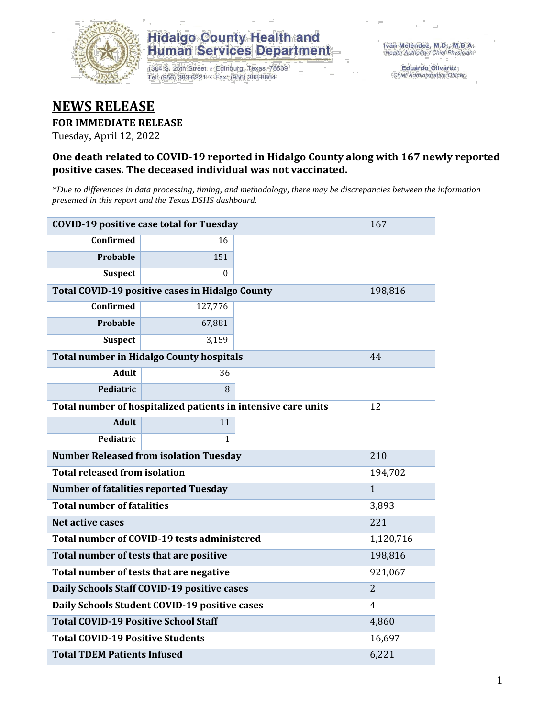

## **Hidalgo County Health and Human Services Department**

1304 S. 25th Street · Edinburg, Texas 78539 Tel: (956) 383-6221 · Fax: (956) 383-8864

**Eduardo Olivarez** Chief Administrative Officer

## **NEWS RELEASE**

### **FOR IMMEDIATE RELEASE**

Tuesday, April 12, 2022

### **One death related to COVID-19 reported in Hidalgo County along with 167 newly reported positive cases. The deceased individual was not vaccinated.**

*\*Due to differences in data processing, timing, and methodology, there may be discrepancies between the information presented in this report and the Texas DSHS dashboard.*

| <b>COVID-19 positive case total for Tuesday</b>               | 167                                             |  |         |
|---------------------------------------------------------------|-------------------------------------------------|--|---------|
| <b>Confirmed</b>                                              | 16                                              |  |         |
| Probable                                                      | 151                                             |  |         |
| <b>Suspect</b>                                                | 0                                               |  |         |
|                                                               | Total COVID-19 positive cases in Hidalgo County |  | 198,816 |
| Confirmed                                                     | 127,776                                         |  |         |
| Probable                                                      | 67,881                                          |  |         |
| <b>Suspect</b>                                                | 3,159                                           |  |         |
|                                                               | <b>Total number in Hidalgo County hospitals</b> |  | 44      |
| <b>Adult</b>                                                  | 36                                              |  |         |
| Pediatric                                                     | 8                                               |  |         |
| Total number of hospitalized patients in intensive care units | 12                                              |  |         |
| <b>Adult</b>                                                  | 11                                              |  |         |
| Pediatric                                                     | 1                                               |  |         |
| <b>Number Released from isolation Tuesday</b>                 | 210                                             |  |         |
| <b>Total released from isolation</b>                          | 194,702                                         |  |         |
| <b>Number of fatalities reported Tuesday</b>                  | $\mathbf{1}$                                    |  |         |
| <b>Total number of fatalities</b>                             | 3,893                                           |  |         |
| Net active cases                                              |                                                 |  | 221     |
| Total number of COVID-19 tests administered                   | 1,120,716                                       |  |         |
| Total number of tests that are positive                       | 198,816                                         |  |         |
| Total number of tests that are negative                       | 921,067                                         |  |         |
| Daily Schools Staff COVID-19 positive cases                   | $\overline{2}$                                  |  |         |
| Daily Schools Student COVID-19 positive cases                 | 4                                               |  |         |
| <b>Total COVID-19 Positive School Staff</b>                   | 4,860                                           |  |         |
| <b>Total COVID-19 Positive Students</b>                       | 16,697                                          |  |         |
| <b>Total TDEM Patients Infused</b>                            | 6,221                                           |  |         |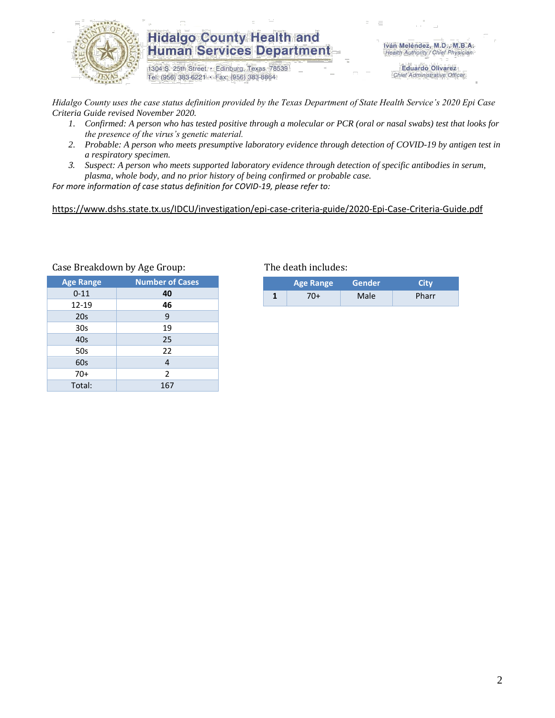

## **Hidalgo County Health and Human Services Department**

1304 S. 25th Street · Edinburg, Texas 78539 Tel: (956) 383-6221 · Fax: (956) 383-8864

Iván Meléndez, M.D., M.B.A. Health Authority / Chief Physician

> **Eduardo Olivarez** Chief Administrative Officer

*Hidalgo County uses the case status definition provided by the Texas Department of State Health Service's 2020 Epi Case Criteria Guide revised November 2020.*

- *1. Confirmed: A person who has tested positive through a molecular or PCR (oral or nasal swabs) test that looks for the presence of the virus's genetic material.*
- *2. Probable: A person who meets presumptive laboratory evidence through detection of COVID-19 by antigen test in a respiratory specimen.*
- *3. Suspect: A person who meets supported laboratory evidence through detection of specific antibodies in serum, plasma, whole body, and no prior history of being confirmed or probable case.*

*For more information of case status definition for COVID-19, please refer to:*

<https://www.dshs.state.tx.us/IDCU/investigation/epi-case-criteria-guide/2020-Epi-Case-Criteria-Guide.pdf>

| <b>Age Range</b> | <b>Number of Cases</b> |
|------------------|------------------------|
| $0 - 11$         | 40                     |
| 12-19            | 46                     |
| 20s              | 9                      |
| 30s              | 19                     |
| 40s              | 25                     |
| 50s              | 22                     |
| 60s              | $\overline{4}$         |
| $70+$            | 2                      |
| Total:           | 167                    |

### Case Breakdown by Age Group: The death includes:

| <b>Age Range</b> | <b>Gender</b> | Citv  |
|------------------|---------------|-------|
| 70+              | Male          | Pharr |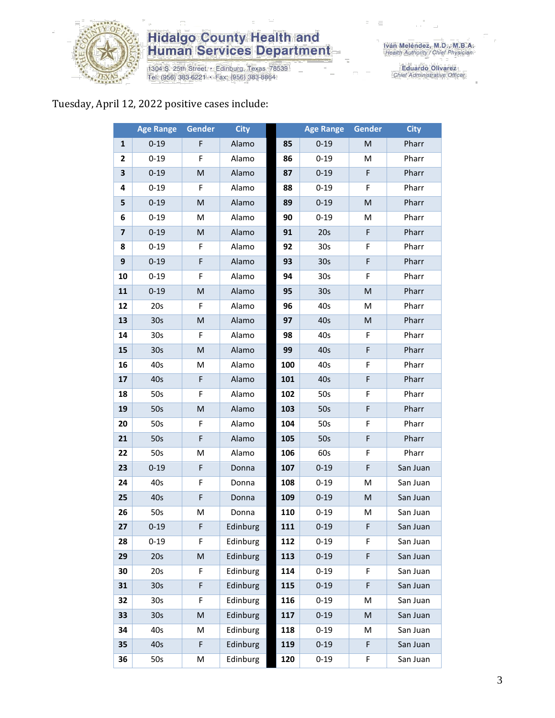

# **Hidalgo County Health and<br>Human Services Department**

1304 S. 25th Street • Edinburg, Texas 78539<br>Tel: (956) 383-6221 • Fax: (956) 383-8864

Iván Meléndez, M.D., M.B.A.<br>Health Authority / Chief Physician

Eduardo Olivarez<br>Chief Administrative Officer

## Tuesday, April 12, 2022 positive cases include:

|              | <b>Age Range</b> | <b>Gender</b> | <b>City</b> |     | <b>Age Range</b> | Gender    | <b>City</b> |
|--------------|------------------|---------------|-------------|-----|------------------|-----------|-------------|
| $\mathbf{1}$ | $0 - 19$         | F             | Alamo       | 85  | $0 - 19$         | M         | Pharr       |
| 2            | $0 - 19$         | F             | Alamo       | 86  | $0 - 19$         | M         | Pharr       |
| 3            | $0 - 19$         | M             | Alamo       | 87  | $0 - 19$         | F         | Pharr       |
| 4            | $0 - 19$         | F             | Alamo       | 88  | $0 - 19$         | F         | Pharr       |
| 5            | $0 - 19$         | M             | Alamo       | 89  | $0 - 19$         | ${\sf M}$ | Pharr       |
| 6            | $0 - 19$         | M             | Alamo       | 90  | $0 - 19$         | M         | Pharr       |
| 7            | $0 - 19$         | ${\sf M}$     | Alamo       | 91  | 20s              | F         | Pharr       |
| 8            | $0 - 19$         | F             | Alamo       | 92  | 30 <sub>s</sub>  | F         | Pharr       |
| 9            | $0 - 19$         | F             | Alamo       | 93  | 30 <sub>s</sub>  | F         | Pharr       |
| 10           | $0 - 19$         | F             | Alamo       | 94  | 30 <sub>s</sub>  | F         | Pharr       |
| 11           | $0 - 19$         | M             | Alamo       | 95  | 30 <sub>s</sub>  | M         | Pharr       |
| 12           | 20s              | F             | Alamo       | 96  | 40s              | M         | Pharr       |
| 13           | 30 <sub>s</sub>  | ${\sf M}$     | Alamo       | 97  | 40s              | ${\sf M}$ | Pharr       |
| 14           | 30 <sub>s</sub>  | F.            | Alamo       | 98  | 40s              | F.        | Pharr       |
| 15           | 30 <sub>s</sub>  | ${\sf M}$     | Alamo       | 99  | 40s              | F         | Pharr       |
| 16           | 40s              | M             | Alamo       | 100 | 40s              | F         | Pharr       |
| 17           | 40s              | F             | Alamo       | 101 | 40s              | F         | Pharr       |
| 18           | 50s              | F             | Alamo       | 102 | 50s              | F         | Pharr       |
| 19           | 50s              | M             | Alamo       | 103 | 50s              | F         | Pharr       |
| 20           | 50s              | F             | Alamo       | 104 | 50s              | F         | Pharr       |
| 21           | 50s              | F             | Alamo       | 105 | 50s              | F         | Pharr       |
| 22           | 50s              | M             | Alamo       | 106 | 60s              | F         | Pharr       |
| 23           | $0 - 19$         | F             | Donna       | 107 | $0 - 19$         | F         | San Juan    |
| 24           | 40s              | F             | Donna       | 108 | $0 - 19$         | M         | San Juan    |
| 25           | 40s              | F             | Donna       | 109 | $0 - 19$         | M         | San Juan    |
| 26           | 50s              | M             | Donna       | 110 | $0 - 19$         | M         | San Juan    |
| 27           | $0 - 19$         | F             | Edinburg    | 111 | $0 - 19$         | F         | San Juan    |
| 28           | $0 - 19$         | F.            | Edinburg    | 112 | 0-19             | F.        | San Juan    |
| 29           | 20s              | M             | Edinburg    | 113 | $0 - 19$         | F         | San Juan    |
| 30           | 20s              | F             | Edinburg    | 114 | $0 - 19$         | F         | San Juan    |
| 31           | 30 <sub>s</sub>  | F             | Edinburg    | 115 | $0 - 19$         | F         | San Juan    |
| 32           | 30s              | F             | Edinburg    | 116 | $0 - 19$         | M         | San Juan    |
| 33           | 30 <sub>s</sub>  | M             | Edinburg    | 117 | $0 - 19$         | ${\sf M}$ | San Juan    |
| 34           | 40s              | M             | Edinburg    | 118 | $0 - 19$         | M         | San Juan    |
| 35           | 40s              | F             | Edinburg    | 119 | $0 - 19$         | F         | San Juan    |
| 36           | 50s              | M             | Edinburg    | 120 | $0 - 19$         | F         | San Juan    |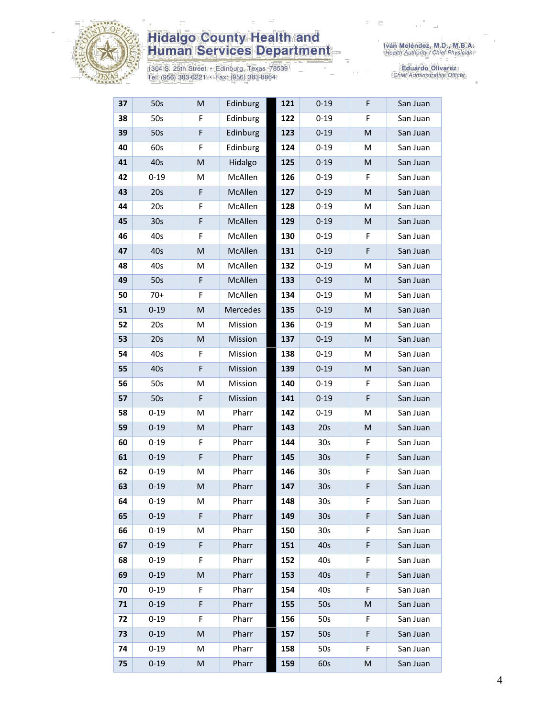

# **Hidalgo County Health and<br>Human Services Department**

1304 S. 25th Street • Edinburg, Texas 78539<br>Tel: (956) 383-6221 • Fax: (956) 383-8864

Eduardo Olivarez<br>Chief Administrative Officer

| 37 | 50s             | M           | Edinburg | 121 | $0 - 19$        | F           | San Juan |
|----|-----------------|-------------|----------|-----|-----------------|-------------|----------|
| 38 | 50s             | F           | Edinburg | 122 | $0 - 19$        | F           | San Juan |
| 39 | 50s             | F           | Edinburg | 123 | $0 - 19$        | M           | San Juan |
| 40 | 60s             | F           | Edinburg | 124 | $0 - 19$        | M           | San Juan |
| 41 | 40s             | M           | Hidalgo  | 125 | $0 - 19$        | M           | San Juan |
| 42 | $0 - 19$        | М           | McAllen  | 126 | $0 - 19$        | F           | San Juan |
| 43 | 20s             | $\mathsf F$ | McAllen  | 127 | $0 - 19$        | M           | San Juan |
| 44 | 20s             | F           | McAllen  | 128 | $0 - 19$        | M           | San Juan |
| 45 | 30 <sub>s</sub> | F           | McAllen  | 129 | $0 - 19$        | M           | San Juan |
| 46 | 40s             | F           | McAllen  | 130 | $0 - 19$        | F           | San Juan |
| 47 | 40s             | M           | McAllen  | 131 | $0 - 19$        | $\mathsf F$ | San Juan |
| 48 | 40s             | M           | McAllen  | 132 | $0 - 19$        | M           | San Juan |
| 49 | 50s             | F           | McAllen  | 133 | $0 - 19$        | M           | San Juan |
| 50 | $70+$           | F           | McAllen  | 134 | $0 - 19$        | M           | San Juan |
| 51 | $0 - 19$        | M           | Mercedes | 135 | $0 - 19$        | M           | San Juan |
| 52 | 20s             | М           | Mission  | 136 | $0 - 19$        | м           | San Juan |
| 53 | 20s             | M           | Mission  | 137 | $0 - 19$        | M           | San Juan |
| 54 | 40s             | F           | Mission  | 138 | $0 - 19$        | M           | San Juan |
| 55 | 40s             | F           | Mission  | 139 | $0 - 19$        | M           | San Juan |
| 56 | 50s             | M           | Mission  | 140 | $0 - 19$        | F           | San Juan |
| 57 | 50s             | F           | Mission  | 141 | $0 - 19$        | F           | San Juan |
| 58 | $0 - 19$        | M           | Pharr    | 142 | $0 - 19$        | M           | San Juan |
| 59 | $0 - 19$        | M           | Pharr    | 143 | 20s             | ${\sf M}$   | San Juan |
| 60 | $0 - 19$        | F           | Pharr    | 144 | 30 <sub>s</sub> | F           | San Juan |
| 61 | $0 - 19$        | F           | Pharr    | 145 | 30 <sub>s</sub> | F           | San Juan |
| 62 | $0 - 19$        | M           | Pharr    | 146 | 30 <sub>s</sub> | F           | San Juan |
| 63 | $0 - 19$        | M           | Pharr    | 147 | 30 <sub>s</sub> | F           | San Juan |
| 64 | $0 - 19$        | M           | Pharr    | 148 | 30 <sub>s</sub> | F           | San Juan |
| 65 | $0 - 19$        | F           | Pharr    | 149 | 30 <sub>s</sub> | F           | San Juan |
| 66 | $0 - 19$        | М           | Pharr    | 150 | 30 <sub>s</sub> | F           | San Juan |
| 67 | $0 - 19$        | F           | Pharr    | 151 | 40s             | F           | San Juan |
| 68 | $0 - 19$        | F           | Pharr    | 152 | 40s             | F           | San Juan |
| 69 | $0 - 19$        | M           | Pharr    | 153 | 40s             | F           | San Juan |
| 70 | $0 - 19$        | F           | Pharr    | 154 | 40s             | F           | San Juan |
| 71 | $0 - 19$        | F           | Pharr    | 155 | 50s             | M           | San Juan |
| 72 | $0 - 19$        | F.          | Pharr    | 156 | 50s             | F           | San Juan |
| 73 | $0 - 19$        | M           | Pharr    | 157 | 50s             | F           | San Juan |
| 74 | $0 - 19$        | M           | Pharr    | 158 | 50s             | F           | San Juan |
| 75 | $0 - 19$        | M           | Pharr    | 159 | 60s             | M           | San Juan |